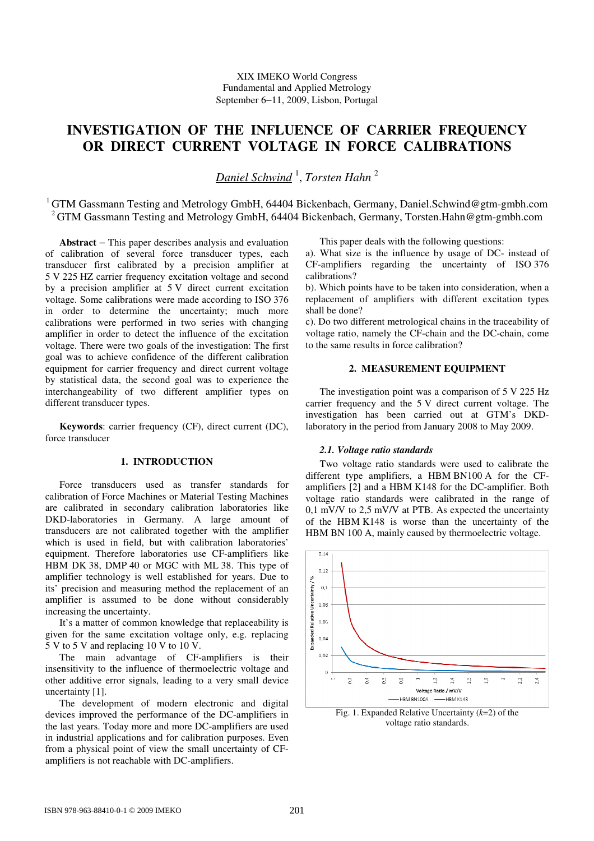# **INVESTIGATION OF THE INFLUENCE OF CARRIER FREQUENCY OR DIRECT CURRENT VOLTAGE IN FORCE CALIBRATIONS**

*Daniel Schwind* <sup>1</sup> , *Torsten Hahn* <sup>2</sup>

<sup>1</sup>GTM Gassmann Testing and Metrology GmbH, 64404 Bickenbach, Germany, Daniel.Schwind@gtm-gmbh.com <sup>2</sup>GTM Gassmann Testing and Metrology GmbH, 64404 Bickenbach, Germany, Torsten.Hahn@gtm-gmbh.com

**Abstract** − This paper describes analysis and evaluation of calibration of several force transducer types, each transducer first calibrated by a precision amplifier at 5 V 225 HZ carrier frequency excitation voltage and second by a precision amplifier at 5 V direct current excitation voltage. Some calibrations were made according to ISO 376 in order to determine the uncertainty; much more calibrations were performed in two series with changing amplifier in order to detect the influence of the excitation voltage. There were two goals of the investigation: The first goal was to achieve confidence of the different calibration equipment for carrier frequency and direct current voltage by statistical data, the second goal was to experience the interchangeability of two different amplifier types on different transducer types.

**Keywords**: carrier frequency (CF), direct current (DC), force transducer

# **1. INTRODUCTION**

Force transducers used as transfer standards for calibration of Force Machines or Material Testing Machines are calibrated in secondary calibration laboratories like DKD-laboratories in Germany. A large amount of transducers are not calibrated together with the amplifier which is used in field, but with calibration laboratories' equipment. Therefore laboratories use CF-amplifiers like HBM DK 38, DMP 40 or MGC with ML 38. This type of amplifier technology is well established for years. Due to its' precision and measuring method the replacement of an amplifier is assumed to be done without considerably increasing the uncertainty.

It's a matter of common knowledge that replaceability is given for the same excitation voltage only, e.g. replacing 5 V to 5 V and replacing 10 V to 10 V.

The main advantage of CF-amplifiers is their insensitivity to the influence of thermoelectric voltage and other additive error signals, leading to a very small device uncertainty [1].

The development of modern electronic and digital devices improved the performance of the DC-amplifiers in the last years. Today more and more DC-amplifiers are used in industrial applications and for calibration purposes. Even from a physical point of view the small uncertainty of CFamplifiers is not reachable with DC-amplifiers.

This paper deals with the following questions:

a). What size is the influence by usage of DC- instead of CF-amplifiers regarding the uncertainty of ISO 376 calibrations?

b). Which points have to be taken into consideration, when a replacement of amplifiers with different excitation types shall be done?

c). Do two different metrological chains in the traceability of voltage ratio, namely the CF-chain and the DC-chain, come to the same results in force calibration?

# **2. MEASUREMENT EQUIPMENT**

The investigation point was a comparison of 5 V 225 Hz carrier frequency and the 5 V direct current voltage. The investigation has been carried out at GTM's DKDlaboratory in the period from January 2008 to May 2009.

#### *2.1. Voltage ratio standards*

Two voltage ratio standards were used to calibrate the different type amplifiers, a HBM BN100 A for the CFamplifiers [2] and a HBM K148 for the DC-amplifier. Both voltage ratio standards were calibrated in the range of 0,1 mV/V to 2,5 mV/V at PTB. As expected the uncertainty of the HBM K148 is worse than the uncertainty of the HBM BN 100 A, mainly caused by thermoelectric voltage.



Fig. 1. Expanded Relative Uncertainty (*k*=2) of the voltage ratio standards.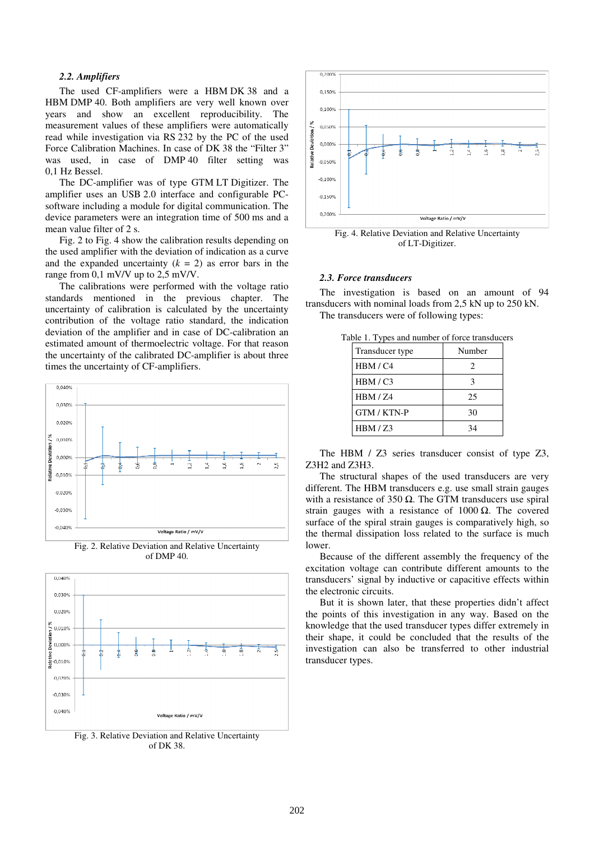#### *2.2. Amplifiers*

The used CF-amplifiers were a HBM DK 38 and a HBM DMP 40. Both amplifiers are very well known over years and show an excellent reproducibility. The measurement values of these amplifiers were automatically read while investigation via RS 232 by the PC of the used Force Calibration Machines. In case of DK 38 the "Filter 3" was used, in case of DMP 40 filter setting was 0,1 Hz Bessel.

The DC-amplifier was of type GTM LT Digitizer. The amplifier uses an USB 2.0 interface and configurable PCsoftware including a module for digital communication. The device parameters were an integration time of 500 ms and a mean value filter of 2 s.

Fig. 2 to Fig. 4 show the calibration results depending on the used amplifier with the deviation of indication as a curve and the expanded uncertainty  $(k = 2)$  as error bars in the range from 0,1 mV/V up to 2,5 mV/V.

The calibrations were performed with the voltage ratio standards mentioned in the previous chapter. The uncertainty of calibration is calculated by the uncertainty contribution of the voltage ratio standard, the indication deviation of the amplifier and in case of DC-calibration an estimated amount of thermoelectric voltage. For that reason the uncertainty of the calibrated DC-amplifier is about three times the uncertainty of CF-amplifiers.



Fig. 2. Relative Deviation and Relative Uncertainty of DMP 40.



Fig. 3. Relative Deviation and Relative Uncertainty of DK 38.



of LT-Digitizer.

# *2.3. Force transducers*

The investigation is based on an amount of 94 transducers with nominal loads from 2,5 kN up to 250 kN. The transducers were of following types:

| $\alpha$ i. Types and number of force transduce |        |  |
|-------------------------------------------------|--------|--|
| Transducer type                                 | Number |  |
| HBM/C4                                          | 2      |  |
| HBM/C3                                          | 3      |  |
| HBM/Z4                                          | 25     |  |
| GTM / KTN-P                                     | 30     |  |
| HBM/Z3                                          | 34     |  |
|                                                 |        |  |

Table 1. Types and number of force transducers

The HBM / Z3 series transducer consist of type Z3, Z3H2 and Z3H3.

The structural shapes of the used transducers are very different. The HBM transducers e.g. use small strain gauges with a resistance of 350  $Ω$ . The GTM transducers use spiral strain gauges with a resistance of  $1000 \Omega$ . The covered surface of the spiral strain gauges is comparatively high, so the thermal dissipation loss related to the surface is much lower.

Because of the different assembly the frequency of the excitation voltage can contribute different amounts to the transducers' signal by inductive or capacitive effects within the electronic circuits.

But it is shown later, that these properties didn't affect the points of this investigation in any way. Based on the knowledge that the used transducer types differ extremely in their shape, it could be concluded that the results of the investigation can also be transferred to other industrial transducer types.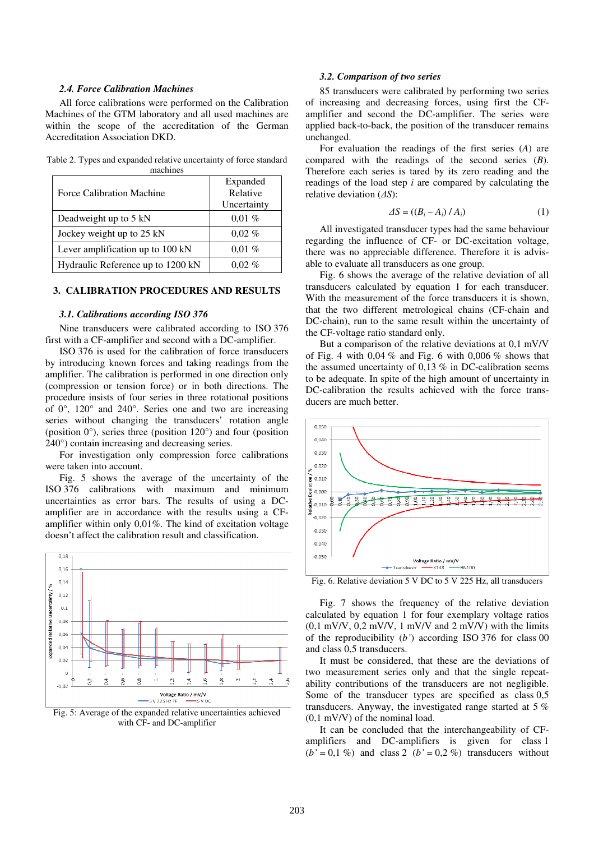#### *2.4. Force Calibration Machines*

All force calibrations were performed on the Calibration Machines of the GTM laboratory and all used machines are within the scope of the accreditation of the German Accreditation Association DKD.

Table 2. Types and expanded relative uncertainty of force standard machines

| Force Calibration Machine         | Expanded<br>Relative<br>Uncertainty |
|-----------------------------------|-------------------------------------|
| Deadweight up to 5 kN             | $0,01\%$                            |
| Jockey weight up to 25 kN         | $0.02\%$                            |
| Lever amplification up to 100 kN  | $0.01\%$                            |
| Hydraulic Reference up to 1200 kN | $0.02\%$                            |

## **3. CALIBRATION PROCEDURES AND RESULTS**

### *3.1. Calibrations according ISO 376*

Nine transducers were calibrated according to ISO 376 first with a CF-amplifier and second with a DC-amplifier.

ISO 376 is used for the calibration of force transducers by introducing known forces and taking readings from the amplifier. The calibration is performed in one direction only (compression or tension force) or in both directions. The procedure insists of four series in three rotational positions of 0°, 120° and 240°. Series one and two are increasing series without changing the transducers' rotation angle (position  $0^{\circ}$ ), series three (position  $120^{\circ}$ ) and four (position 240°) contain increasing and decreasing series.

For investigation only compression force calibrations were taken into account.

Fig. 5 shows the average of the uncertainty of the ISO 376 calibrations with maximum and minimum uncertainties as error bars. The results of using a DCamplifier are in accordance with the results using a CFamplifier within only 0,01%. The kind of excitation voltage doesn't affect the calibration result and classification.



Fig. 5: Average of the expanded relative uncertainties achieved with CF- and DC-amplifier

#### *3.2. Comparison of two series*

85 transducers were calibrated by performing two series of increasing and decreasing forces, using first the CFamplifier and second the DC-amplifier. The series were applied back-to-back, the position of the transducer remains unchanged.

For evaluation the readings of the first series (*A*) are compared with the readings of the second series (*B*). Therefore each series is tared by its zero reading and the readings of the load step *i* are compared by calculating the relative deviation (*∆S*):

$$
\Delta S = \left( \left( B_i - A_i \right) / A_i \right) \tag{1}
$$

All investigated transducer types had the same behaviour regarding the influence of CF- or DC-excitation voltage, there was no appreciable difference. Therefore it is advisable to evaluate all transducers as one group.

Fig. 6 shows the average of the relative deviation of all transducers calculated by equation 1 for each transducer. With the measurement of the force transducers it is shown, that the two different metrological chains (CF-chain and DC-chain), run to the same result within the uncertainty of the CF-voltage ratio standard only.

But a comparison of the relative deviations at 0,1 mV/V of Fig. 4 with 0,04 % and Fig. 6 with 0,006 % shows that the assumed uncertainty of 0,13 % in DC-calibration seems to be adequate. In spite of the high amount of uncertainty in DC-calibration the results achieved with the force transducers are much better.



Fig. 6. Relative deviation 5 V DC to 5 V 225 Hz, all transducers

Fig. 7 shows the frequency of the relative deviation calculated by equation 1 for four exemplary voltage ratios  $(0,1 \text{ mV/V}, 0,2 \text{ mV/V}, 1 \text{ mV/V}$  and  $2 \text{ mV/V}$ ) with the limits of the reproducibility (*b'*) according ISO 376 for class 00 and class 0,5 transducers.

It must be considered, that these are the deviations of two measurement series only and that the single repeatability contributions of the transducers are not negligible. Some of the transducer types are specified as class 0,5 transducers. Anyway, the investigated range started at 5 % (0,1 mV/V) of the nominal load.

It can be concluded that the interchangeability of CFamplifiers and DC-amplifiers is given for class 1  $(b' = 0, 1\%)$  and class 2  $(b' = 0, 2\%)$  transducers without